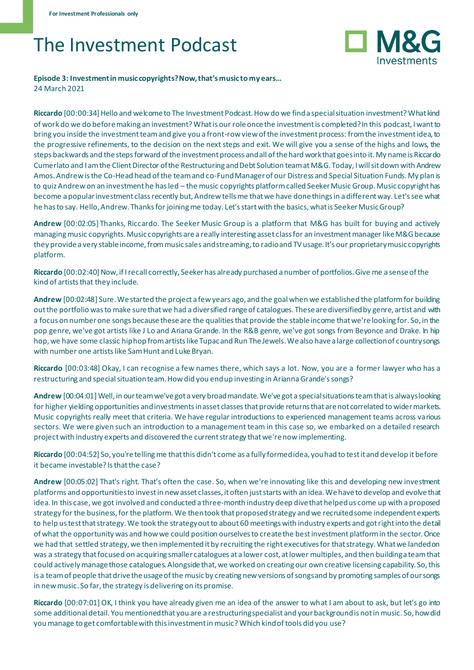## The Investment Podcast



## **Episode 3: Investment in music copyrights? Now, that's music to my ears…** 24 March 2021

**Riccardo** [00:00:34] Hello and welcome to The Investment Podcast. How do we find a special situation investment? What kind of work do we do before making an investment? What is our role once the investment is completed? In this podcast, I want to bring you inside the investment team and give you a front-row view of the investment process: from the investment idea, to the progressive refinements, to the decision on the next steps and exit. We will give you a sense of the highs and lows, the steps backwards and the steps forward of the investment process and all of the hard work that goes into it. My name is Riccardo Cumerlato and I am the Client Director of the Restructuring and Debt Solution team at M&G. Today, I will sit down with Andrew Amos. Andrew is the Co-Head head of the team and co-Fund Manager of our Distress and Special Situation Funds. My plan is to quiz Andrew on an investment he has led – the music copyrights platform called Seeker Music Group. Music copyright has become a popular investment class recently but, Andrew tells me that we have done things in a different way. Let's see what he has to say. Hello, Andrew. Thanks for joining me today. Let's start with the basics, what is Seeker Music Group?

**Andrew** [00:02:05] Thanks, Riccardo. The Seeker Music Group is a platform that M&G has built for buying and actively managing music copyrights. Music copyrights are a really interesting asset class for an investment manager like M&G because they provide a very stable income, from music sales and streaming, to radio and TV usage. It's our proprietary music copyrights platform.

**Riccardo** [00:02:40] Now, if I recall correctly, Seeker has already purchased a number of portfolios. Give me a sense of the kind of artists that they include.

**Andrew** [00:02:48] Sure. We started the project a few years ago, and the goal when we established the platform for building out the portfolio was to make sure that we had a diversified range of catalogues. These are diversified by genre, artist and with a focus on number one songs because these are the qualities that provide the stable income that we're looking for. So, in the pop genre, we've got artists like J Lo and Ariana Grande. In the R&B genre, we've got songs from Beyonce and Drake. In hip hop, we have some classic hip hop from artists like Tupac and Run The Jewels. We also have a large collection of country songs with number one artists like Sam Hunt and Luke Bryan.

**Riccardo** [00:03:48] Okay, I can recognise a few names there, which says a lot. Now, you are a former lawyer who has a restructuring and special situation team. How did you end up investing in Arianna Grande's songs?

**Andrew** [00:04:01] Well, in our team we've got a very broad mandate. We've got a special situations team that is always looking for higher yielding opportunities and investments in asset classes that provide returns that are not correlated to wider markets. Music copyrights really meet that criteria. We have regular introductions to experienced management teams across various sectors. We were given such an introduction to a management team in this case so, we embarked on a detailed research project with industry experts and discovered the current strategy that we're now implementing.

**Riccardo** [00:04:52] So, you're telling me that this didn't come as a fully formed idea, you had to test it and develop it before it became investable? Is that the case?

**Andrew** [00:05:02] That's right. That's often the case. So, when we're innovating like this and developing new investment platforms and opportunities to invest in new asset classes, it often just starts with an idea. We have to develop and evolve that idea. In this case, we got involved and conducted a three-month industry deep dive that helped us come up with a proposed strategy for the business, for the platform. We then took that proposed strategy and we recruited some independent experts to help us test that strategy. We took the strategy out to about 60 meetings with industry experts and got right into the detail of what the opportunity was and how we could position ourselves to create the best investment platform in the sector. Once we had that settled strategy, we then implemented it by recruiting the right executives for that strategy. What we landed on was a strategy that focused on acquiring smaller catalogues at a lower cost, at lower multiples, and then building a team that could actively manage those catalogues. Alongside that, we worked on creating our own creative licensing capability. So, this is a team of people that drive the usage of the music by creating new versions of songs and by promoting samples of our songs in new music. So far, the strategy is delivering on its promise.

**Riccardo** [00:07:01] OK, I think you have already given me an idea of the answer to what I am about to ask, but let's go into some additional detail. You mentioned that you are a restructuring specialist and your background is not in music. So, how did you manage to get comfortable with this investment in music? Which kind of tools did you use?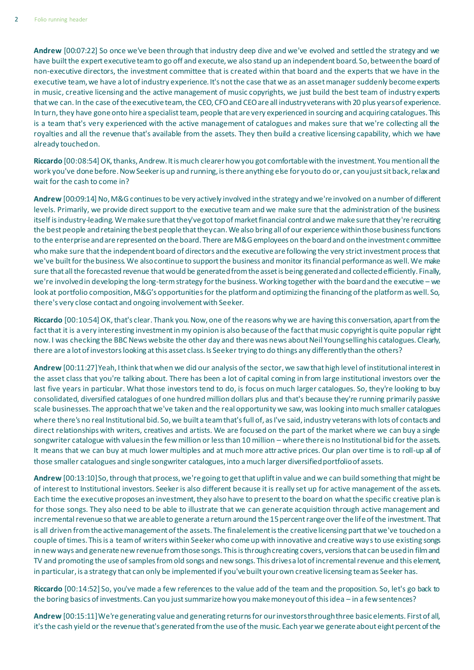**Andrew** [00:07:22] So once we've been through that industry deep dive and we've evolved and settled the strategy and we have built the expert executive team to go off and execute, we also stand up an independent board. So, between the board of non-executive directors, the investment committee that is created within that board and the experts that we have in the executive team, we have a lot of industry experience. It's not the case that we as an asset manager suddenly become experts in music, creative licensing and the active management of music copyrights, we just build the best team of industry experts that we can. In the case of the executive team, the CEO, CFO and CEO are all industry veterans with 20 plus years of experience. In turn, they have gone onto hire a specialist team, people that are very experienced in sourcing and acquiring catalogues. This is a team that's very experienced with the active management of catalogues and makes sure that we're collecting all the royalties and all the revenue that's available from the assets. They then build a creative licensing capability, which we have already touched on.

**Riccardo** [00:08:54] OK, thanks, Andrew. It is much clearer how you got comfortable with the investment. You mention all the work you've done before. Now Seeker is up and running, is there anything else for you to do or, can you just sit back, relax and wait for the cash to come in?

**Andrew** [00:09:14] No, M&G continues to be very actively involved in the strategy and we're involved on a number of different levels. Primarily, we provide direct support to the executive team and we make sure that the administration of the business itself is industry-leading. We make sure that they've got top of market financial control and we make sure that they're recruiting the best people and retaining the best people that they can. We also bring all of our experience within those business functions to the enterprise and are represented on the board. There are M&G employees on the board and on the investment committee who make sure that the independent board of directors and the executive are following the very strict investment process that we've built for the business. We also continue to support the business and monitor its financial performance as well. We make sure that all the forecasted revenue that would be generated from the asset is being generated and collected efficiently. Finally, we're involved in developing the long-term strategy for the business. Working together with the board and the executive – we look at portfolio composition, M&G's opportunities for the platform and optimizing the financing of the platform as well. So, there's very close contact and ongoing involvement with Seeker.

**Riccardo** [00:10:54] OK, that's clear. Thank you. Now, one of the reasons why we are having this conversation, apart from the fact that it is a very interesting investment in my opinion is also because of the fact that music copyright is quite popular right now. I was checking the BBC News website the other day and there was news about Neil Young selling his catalogues. Clearly, there are a lot of investors looking at this asset class. Is Seeker trying to do things any differently than the others?

**Andrew** [00:11:27] Yeah, I think that when we did our analysis of the sector, we saw that high level of institutional interest in the asset class that you're talking about. There has been a lot of capital coming in from large institutional investors over the last five years in particular. What those investors tend to do, is focus on much larger catalogues. So, they're looking to buy consolidated, diversified catalogues of one hundred million dollars plus and that's because they're running primarily passive scale businesses. The approach that we've taken and the real opportunity we saw, was looking into much smaller catalogues where there's no real Institutional bid. So, we built a team that's full of, as I've said, industry veterans with lots of contacts and direct relationships with writers, creatives and artists. We are focused on the part of the market where we can buy a single songwriter catalogue with values in the few million or less than 10 million – where there is no Institutional bid for the assets. It means that we can buy at much lower multiples and at much more attractive prices. Our plan over time is to roll-up all of those smaller catalogues and single songwriter catalogues, into a much larger diversified portfolio of assets.

**Andrew** [00:13:10] So, through that process, we're going to get that uplift in value and we can build something that might be of interest to Institutional investors. Seeker is also different because it is really set up for active management of the assets. Each time the executive proposes an investment, they also have to present to the board on what the specific creative plan is for those songs. They also need to be able to illustrate that we can generate acquisition through active management and incremental revenue so that we are able to generate a return around the 15 percent range over the life of the investment. That is all driven from the active management of the assets. The final element is the creative licensing part that we've touched on a couple of times. This is a team of writers within Seeker who come up with innovative and creative ways to use existing songs in new ways and generate new revenue from those songs. This is through creating covers, versions that can be used in film and TV and promoting the use of samples from old songs and new songs. This drives a lot of incremental revenue and this element, in particular, is a strategy that can only be implemented if you've built your own creative licensing team as Seeker has.

**Riccardo** [00:14:52] So, you've made a few references to the value add of the team and the proposition. So, let's go back to the boring basics of investments. Can you just summarize how you make money out of this idea – in a few sentences?

**Andrew** [00:15:11] We're generating value and generating returns for our investors through three basic elements. First of all, it's the cash yield or the revenue that's generated from the use of the music. Each year we generate about eight percent of the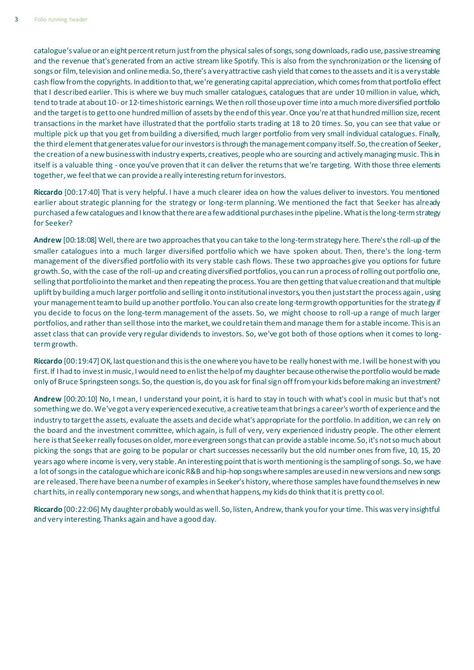catalogue's value or an eight percent return just from the physical sales of songs, song downloads, radio use, passive streaming and the revenue that's generated from an active stream like Spotify. This is also from the synchronization or the licensing of songs or film, television and online media. So, there's a very attractive cash yield that comes to the assets and it is a very stable cash flow from the copyrights. In addition to that, we're generating capital appreciation, which comes from that portfolio effect that I described earlier. This is where we buy much smaller catalogues, catalogues that are under 10 million in value, which, tend to trade at about 10- or 12-times historic earnings. We then roll those up over time into a much more diversified portfolio and the target is to get to one hundred million of assets by the end of this year. Once you're at that hundred million size, recent transactions in the market have illustrated that the portfolio starts trading at 18 to 20 times. So, you can see that value or multiple pick up that you get from building a diversified, much larger portfolio from very small individual catalogues. Finally, the third element that generates value for our investors is through the management company itself. So, the creation of Seeker, the creation of a new business with industry experts, creatives, people who are sourcing and actively managing music. This in itself is a valuable thing - once you've proven that it can deliver the returns that we're targeting. With those three elements together, we feel that we can provide a really interesting return for investors.

**Riccardo** [00:17:40] That is very helpful. I have a much clearer idea on how the values deliver to investors. You mentioned earlier about strategic planning for the strategy or long-term planning. We mentioned the fact that Seeker has already purchased a few catalogues and I know that there are a few additional purchases in the pipeline. What is the long-term strategy for Seeker?

**Andrew** [00:18:08] Well, there are two approaches that you can take to the long-term strategy here. There's the roll-up of the smaller catalogues into a much larger diversified portfolio which we have spoken about. Then, there's the long -term management of the diversified portfolio with its very stable cash flows. These two approaches give you options for future growth. So, with the case of the roll-up and creating diversified portfolios, you can run a process of rolling out portfolio one, selling that portfolio into the market and then repeating the process. You are then getting that value creation and that multiple uplift by building a much larger portfolio and selling it onto institutional investors, you then just start the process again, using your management team to build up another portfolio. You can also create long-term growth opportunities for the strategy if you decide to focus on the long-term management of the assets. So, we might choose to roll-up a range of much larger portfolios, and rather than sell those into the market, we could retain them and manage them for a stable income. This is an asset class that can provide very regular dividends to investors. So, we've got both of those options when it comes to longterm growth.

**Riccardo** [00:19:47] OK, last question and this is the one where you have to be really honest with me. I will be honest with you first. If I had to invest in music, I would need to enlist the help of my daughter because otherwise the portfolio would be made only of Bruce Springsteen songs. So, the question is, do you ask for final sign off from your kids before making an investment?

**Andrew** [00:20:10] No, I mean, I understand your point, it is hard to stay in touch with what's cool in music but that's not something we do. We've got a very experienced executive, a creative team that brings a career's worth of experience and the industry to target the assets, evaluate the assets and decide what's appropriate for the portfolio. In addition, we can rely on the board and the investment committee, which again, is full of very, very experienced industry people. The other element here is that Seeker really focuses on older, more evergreen songs that can provide a stable income. So, it's not so much about picking the songs that are going to be popular or chart successes necessarily but the old number ones from five, 10, 15, 20 years ago where income is very, very stable. An interesting point that is worth mentioning is the sampling of songs. So, we have a lot of songs in the catalogue which are iconic R&B and hip-hop songs where samples are used in new versions and new songs are released. There have been a number of examples in Seeker's history, where those samples have found themselves in new chart hits, in really contemporary new songs, and when that happens, my kids do think that it is pretty cool.

**Riccardo** [00:22:06] My daughter probably would as well. So, listen, Andrew, thank you for your time. This was very insightful and very interesting. Thanks again and have a good day.